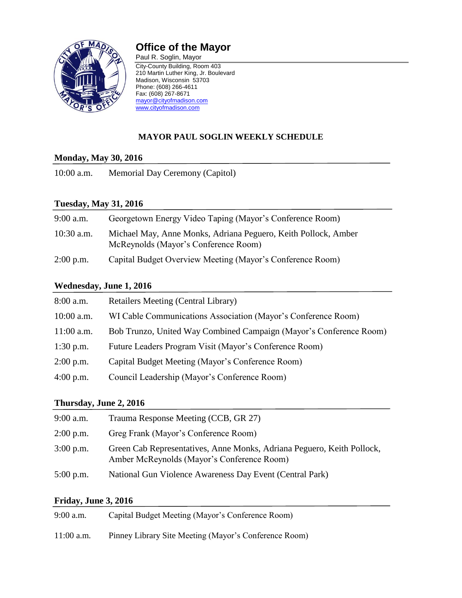

# **Office of the Mayor**

Paul R. Soglin, Mayor City-County Building, Room 403 210 Martin Luther King, Jr. Boulevard Madison, Wisconsin 53703 Phone: (608) 266-4611 Fax: (608) 267-8671 [mayor@cityofmadison.com](mailto:mayor@cityofmadison.com) [www.cityofmadison.com](http://www.cityofmadison.com/)

## **MAYOR PAUL SOGLIN WEEKLY SCHEDULE**

#### **Monday, May 30, 2016**

10:00 a.m. Memorial Day Ceremony (Capitol)

#### **Tuesday, May 31, 2016**

| $9:00$ a.m.  | Georgetown Energy Video Taping (Mayor's Conference Room)                                               |
|--------------|--------------------------------------------------------------------------------------------------------|
| $10:30$ a.m. | Michael May, Anne Monks, Adriana Peguero, Keith Pollock, Amber<br>McReynolds (Mayor's Conference Room) |
| $2:00$ p.m.  | Capital Budget Overview Meeting (Mayor's Conference Room)                                              |

#### **Wednesday, June 1, 2016**

| $8:00$ a.m.  | <b>Retailers Meeting (Central Library)</b>                         |
|--------------|--------------------------------------------------------------------|
| $10:00$ a.m. | WI Cable Communications Association (Mayor's Conference Room)      |
| $11:00$ a.m. | Bob Trunzo, United Way Combined Campaign (Mayor's Conference Room) |
| $1:30$ p.m.  | Future Leaders Program Visit (Mayor's Conference Room)             |
| $2:00$ p.m.  | Capital Budget Meeting (Mayor's Conference Room)                   |
| $4:00$ p.m.  | Council Leadership (Mayor's Conference Room)                       |

#### **Thursday, June 2, 2016**

| $9:00$ a.m. | Trauma Response Meeting (CCB, GR 27)                                                                                 |
|-------------|----------------------------------------------------------------------------------------------------------------------|
| $2:00$ p.m. | Greg Frank (Mayor's Conference Room)                                                                                 |
| $3:00$ p.m. | Green Cab Representatives, Anne Monks, Adriana Peguero, Keith Pollock,<br>Amber McReynolds (Mayor's Conference Room) |
| $5:00$ p.m. | National Gun Violence Awareness Day Event (Central Park)                                                             |

## **Friday, June 3, 2016**

| $9:00$ a.m.  | Capital Budget Meeting (Mayor's Conference Room)      |
|--------------|-------------------------------------------------------|
| $11:00$ a.m. | Pinney Library Site Meeting (Mayor's Conference Room) |